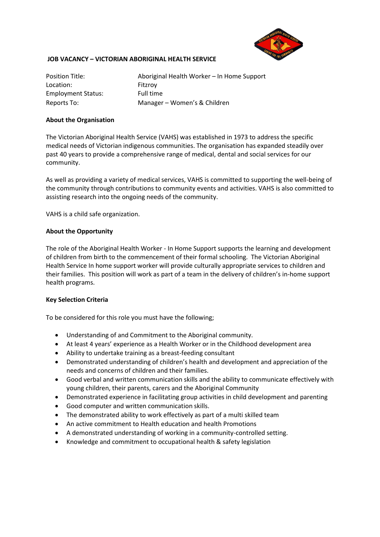

# **JOB VACANCY – VICTORIAN ABORIGINAL HEALTH SERVICE**

Location: Fitzroy Employment Status: Full time

Position Title: Aboriginal Health Worker – In Home Support Reports To: Manager – Women's & Children

## **About the Organisation**

The Victorian Aboriginal Health Service (VAHS) was established in 1973 to address the specific medical needs of Victorian indigenous communities. The organisation has expanded steadily over past 40 years to provide a comprehensive range of medical, dental and social services for our community.

As well as providing a variety of medical services, VAHS is committed to supporting the well-being of the community through contributions to community events and activities. VAHS is also committed to assisting research into the ongoing needs of the community.

VAHS is a child safe organization.

#### **About the Opportunity**

The role of the Aboriginal Health Worker - In Home Support supports the learning and development of children from birth to the commencement of their formal schooling. The Victorian Aboriginal Health Service In home support worker will provide culturally appropriate services to children and their families. This position will work as part of a team in the delivery of children's in-home support health programs.

# **Key Selection Criteria**

To be considered for this role you must have the following;

- Understanding of and Commitment to the Aboriginal community.
- At least 4 years' experience as a Health Worker or in the Childhood development area
- Ability to undertake training as a breast-feeding consultant
- Demonstrated understanding of children's health and development and appreciation of the needs and concerns of children and their families.
- Good verbal and written communication skills and the ability to communicate effectively with young children, their parents, carers and the Aboriginal Community
- Demonstrated experience in facilitating group activities in child development and parenting
- Good computer and written communication skills.
- The demonstrated ability to work effectively as part of a multi skilled team
- An active commitment to Health education and health Promotions
- A demonstrated understanding of working in a community-controlled setting.
- Knowledge and commitment to occupational health & safety legislation